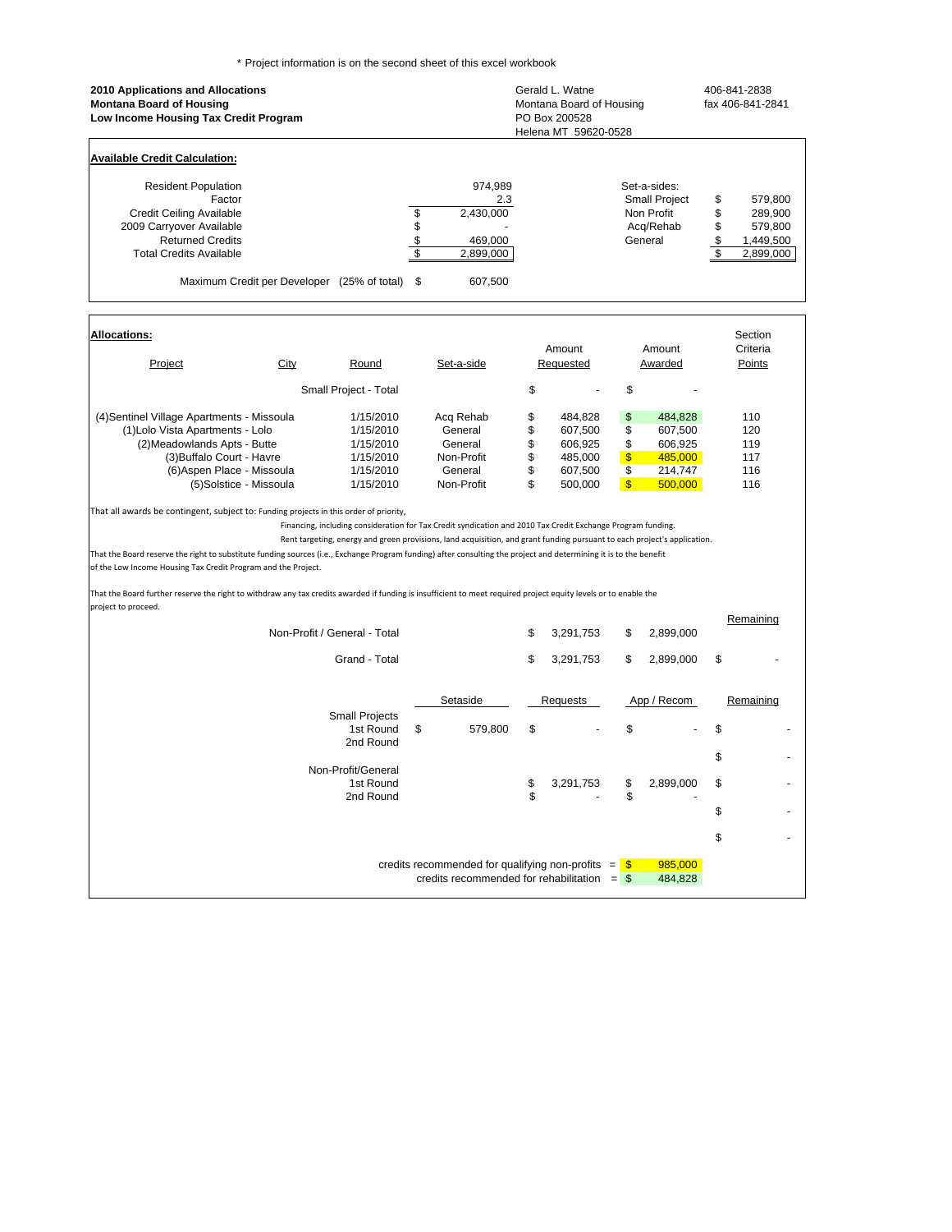\* Project information is on the second sheet of this excel workbook

| 2010 Applications and Allocations<br><b>Montana Board of Housing</b><br>Low Income Housing Tax Credit Program                                                                                                                                                                                                                                                                                                                                                                                                                                                                                                                                                                                                                                                                                                                                                                                                                                                                                                                                                                          |                                 |                                                                                                        | Gerald L. Watne<br>Montana Board of Housing<br>PO Box 200528<br>Helena MT 59620-0528 |                                                                             |                                                                        |                                                                             | 406-841-2838<br>fax 406-841-2841 |                                                         |
|----------------------------------------------------------------------------------------------------------------------------------------------------------------------------------------------------------------------------------------------------------------------------------------------------------------------------------------------------------------------------------------------------------------------------------------------------------------------------------------------------------------------------------------------------------------------------------------------------------------------------------------------------------------------------------------------------------------------------------------------------------------------------------------------------------------------------------------------------------------------------------------------------------------------------------------------------------------------------------------------------------------------------------------------------------------------------------------|---------------------------------|--------------------------------------------------------------------------------------------------------|--------------------------------------------------------------------------------------|-----------------------------------------------------------------------------|------------------------------------------------------------------------|-----------------------------------------------------------------------------|----------------------------------|---------------------------------------------------------|
| <b>Available Credit Calculation:</b>                                                                                                                                                                                                                                                                                                                                                                                                                                                                                                                                                                                                                                                                                                                                                                                                                                                                                                                                                                                                                                                   |                                 |                                                                                                        |                                                                                      |                                                                             |                                                                        |                                                                             |                                  |                                                         |
| <b>Resident Population</b><br>Factor<br><b>Credit Ceiling Available</b><br>2009 Carryover Available<br><b>Returned Credits</b><br><b>Total Credits Available</b><br>Maximum Credit per Developer (25% of total)                                                                                                                                                                                                                                                                                                                                                                                                                                                                                                                                                                                                                                                                                                                                                                                                                                                                        | \$<br>\$<br>$\frac{6}{3}$<br>\$ | 974,989<br>2.3<br>2,430,000<br>469,000<br>2,899,000<br>607,500                                         |                                                                                      |                                                                             |                                                                        | Set-a-sides:<br>Small Project<br>Non Profit<br>Acq/Rehab<br>General         | \$<br>\$<br>\$<br>\$<br>\$       | 579,800<br>289,900<br>579,800<br>1,449,500<br>2,899,000 |
| <b>Allocations:</b>                                                                                                                                                                                                                                                                                                                                                                                                                                                                                                                                                                                                                                                                                                                                                                                                                                                                                                                                                                                                                                                                    |                                 |                                                                                                        |                                                                                      |                                                                             |                                                                        |                                                                             |                                  | Section                                                 |
| Project<br><b>City</b><br>Round                                                                                                                                                                                                                                                                                                                                                                                                                                                                                                                                                                                                                                                                                                                                                                                                                                                                                                                                                                                                                                                        |                                 | Set-a-side                                                                                             | Amount<br>Amount<br>Requested                                                        |                                                                             | Awarded                                                                | Criteria<br>Points                                                          |                                  |                                                         |
| Small Project - Total                                                                                                                                                                                                                                                                                                                                                                                                                                                                                                                                                                                                                                                                                                                                                                                                                                                                                                                                                                                                                                                                  |                                 |                                                                                                        | \$                                                                                   |                                                                             | \$                                                                     |                                                                             |                                  |                                                         |
| (4) Sentinel Village Apartments - Missoula<br>1/15/2010<br>(1) Lolo Vista Apartments - Lolo<br>1/15/2010<br>(2) Meadowlands Apts - Butte<br>1/15/2010<br>(3) Buffalo Court - Havre<br>1/15/2010<br>(6) Aspen Place - Missoula<br>1/15/2010<br>(5)Solstice - Missoula<br>1/15/2010<br>That all awards be contingent, subject to: Funding projects in this order of priority,<br>Financing, including consideration for Tax Credit syndication and 2010 Tax Credit Exchange Program funding.<br>Rent targeting, energy and green provisions, land acquisition, and grant funding pursuant to each project's application.<br>That the Board reserve the right to substitute funding sources (i.e., Exchange Program funding) after consulting the project and determining it is to the benefit<br>of the Low Income Housing Tax Credit Program and the Project.<br>That the Board further reserve the right to withdraw any tax credits awarded if funding is insufficient to meet required project equity levels or to enable the<br>project to proceed.<br>Non-Profit / General - Total |                                 | Acq Rehab<br>General<br>General<br>Non-Profit<br>General<br>Non-Profit                                 | \$<br>\$<br>\$<br>\$<br>\$<br>\$<br>\$                                               | 484,828<br>607,500<br>606,925<br>485,000<br>607,500<br>500,000<br>3,291,753 | \$<br>\$<br>\$<br>$\frac{1}{2}$<br>\$<br>$\sqrt[3]{\frac{1}{2}}$<br>\$ | 484,828<br>607,500<br>606,925<br>485,000<br>214,747<br>500,000<br>2,899,000 |                                  | 110<br>120<br>119<br>117<br>116<br>116<br>Remaining     |
| Grand - Total                                                                                                                                                                                                                                                                                                                                                                                                                                                                                                                                                                                                                                                                                                                                                                                                                                                                                                                                                                                                                                                                          |                                 |                                                                                                        | \$                                                                                   | 3,291,753                                                                   | \$                                                                     | 2,899,000                                                                   | \$                               |                                                         |
| <b>Small Projects</b><br>1st Round<br>2nd Round<br>Non-Profit/General<br>1st Round<br>2nd Round                                                                                                                                                                                                                                                                                                                                                                                                                                                                                                                                                                                                                                                                                                                                                                                                                                                                                                                                                                                        | \$                              | Setaside<br>579,800                                                                                    | \$<br>\$<br>\$                                                                       | Requests<br>3,291,753                                                       | \$<br>\$<br>\$                                                         | App / Recom<br>2,899,000                                                    | \$<br>\$<br>\$<br>\$             | Remaining                                               |
|                                                                                                                                                                                                                                                                                                                                                                                                                                                                                                                                                                                                                                                                                                                                                                                                                                                                                                                                                                                                                                                                                        |                                 | credits recommended for qualifying non-profits $=$ \$<br>credits recommended for rehabilitation $=$ \$ |                                                                                      |                                                                             |                                                                        | 985,000<br>484,828                                                          | \$                               |                                                         |